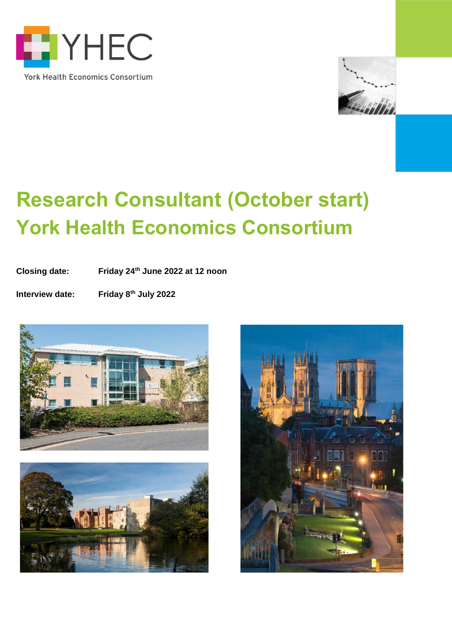



# **Research Consultant (October start) York Health Economics Consortium**

**Closing date: Friday 24th June 2022 at 12 noon**

**Interview date: Friday 8<sup>th</sup> July 2022** 





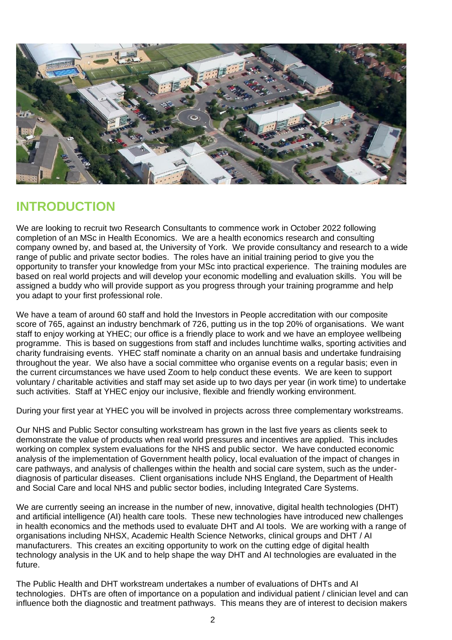

### **INTRODUCTION**

We are looking to recruit two Research Consultants to commence work in October 2022 following completion of an MSc in Health Economics. We are a health economics research and consulting company owned by, and based at, the University of York. We provide consultancy and research to a wide range of public and private sector bodies. The roles have an initial training period to give you the opportunity to transfer your knowledge from your MSc into practical experience. The training modules are based on real world projects and will develop your economic modelling and evaluation skills. You will be assigned a buddy who will provide support as you progress through your training programme and help you adapt to your first professional role.

We have a team of around 60 staff and hold the Investors in People accreditation with our composite score of 765, against an industry benchmark of 726, putting us in the top 20% of organisations. We want staff to enjoy working at YHEC; our office is a friendly place to work and we have an employee wellbeing programme. This is based on suggestions from staff and includes lunchtime walks, sporting activities and charity fundraising events. YHEC staff nominate a charity on an annual basis and undertake fundraising throughout the year. We also have a social committee who organise events on a regular basis; even in the current circumstances we have used Zoom to help conduct these events. We are keen to support voluntary / charitable activities and staff may set aside up to two days per year (in work time) to undertake such activities. Staff at YHEC enjoy our inclusive, flexible and friendly working environment.

During your first year at YHEC you will be involved in projects across three complementary workstreams.

Our NHS and Public Sector consulting workstream has grown in the last five years as clients seek to demonstrate the value of products when real world pressures and incentives are applied. This includes working on complex system evaluations for the NHS and public sector. We have conducted economic analysis of the implementation of Government health policy, local evaluation of the impact of changes in care pathways, and analysis of challenges within the health and social care system, such as the underdiagnosis of particular diseases. Client organisations include NHS England, the Department of Health and Social Care and local NHS and public sector bodies, including Integrated Care Systems.

We are currently seeing an increase in the number of new, innovative, digital health technologies (DHT) and artificial intelligence (AI) health care tools. These new technologies have introduced new challenges in health economics and the methods used to evaluate DHT and AI tools. We are working with a range of organisations including NHSX, Academic Health Science Networks, clinical groups and DHT / AI manufacturers. This creates an exciting opportunity to work on the cutting edge of digital health technology analysis in the UK and to help shape the way DHT and AI technologies are evaluated in the future.

The Public Health and DHT workstream undertakes a number of evaluations of DHTs and AI technologies. DHTs are often of importance on a population and individual patient / clinician level and can influence both the diagnostic and treatment pathways. This means they are of interest to decision makers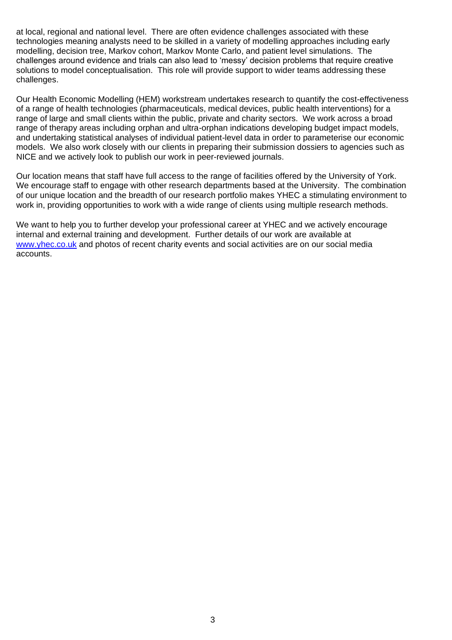at local, regional and national level. There are often evidence challenges associated with these technologies meaning analysts need to be skilled in a variety of modelling approaches including early modelling, decision tree, Markov cohort, Markov Monte Carlo, and patient level simulations. The challenges around evidence and trials can also lead to 'messy' decision problems that require creative solutions to model conceptualisation. This role will provide support to wider teams addressing these challenges.

Our Health Economic Modelling (HEM) workstream undertakes research to quantify the cost-effectiveness of a range of health technologies (pharmaceuticals, medical devices, public health interventions) for a range of large and small clients within the public, private and charity sectors. We work across a broad range of therapy areas including orphan and ultra-orphan indications developing budget impact models, and undertaking statistical analyses of individual patient-level data in order to parameterise our economic models. We also work closely with our clients in preparing their submission dossiers to agencies such as NICE and we actively look to publish our work in peer-reviewed journals.

Our location means that staff have full access to the range of facilities offered by the University of York. We encourage staff to engage with other research departments based at the University. The combination of our unique location and the breadth of our research portfolio makes YHEC a stimulating environment to work in, providing opportunities to work with a wide range of clients using multiple research methods.

We want to help you to further develop your professional career at YHEC and we actively encourage internal and external training and development. Further details of our work are available at [www.yhec.co.uk](http://www.yhec.co.uk/) [a](http://www.yhec.co.uk/)nd photos of recent charity events and social activities are on our social media accounts.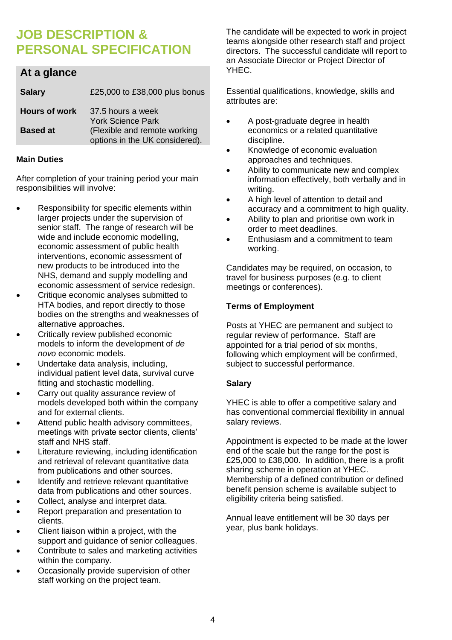### **JOB DESCRIPTION & PERSONAL SPECIFICATION**

#### **At a glance**

| <b>Salary</b>        | £25,000 to £38,000 plus bonus                                  |
|----------------------|----------------------------------------------------------------|
| <b>Hours of work</b> | 37.5 hours a week<br><b>York Science Park</b>                  |
| <b>Based at</b>      | (Flexible and remote working<br>options in the UK considered). |

#### **Main Duties**

After completion of your training period your main responsibilities will involve:

- Responsibility for specific elements within larger projects under the supervision of senior staff. The range of research will be wide and include economic modelling, economic assessment of public health interventions, economic assessment of new products to be introduced into the NHS, demand and supply modelling and economic assessment of service redesign.
- Critique economic analyses submitted to HTA bodies, and report directly to those bodies on the strengths and weaknesses of alternative approaches.
- Critically review published economic models to inform the development of *de novo* economic models.
- Undertake data analysis, including, individual patient level data, survival curve fitting and stochastic modelling.
- Carry out quality assurance review of models developed both within the company and for external clients.
- Attend public health advisory committees, meetings with private sector clients, clients' staff and NHS staff.
- Literature reviewing, including identification and retrieval of relevant quantitative data from publications and other sources.
- Identify and retrieve relevant quantitative data from publications and other sources.
- Collect, analyse and interpret data.
- Report preparation and presentation to clients.
- Client liaison within a project, with the support and guidance of senior colleagues.
- Contribute to sales and marketing activities within the company.
- Occasionally provide supervision of other staff working on the project team.

The candidate will be expected to work in project teams alongside other research staff and project directors. The successful candidate will report to an Associate Director or Project Director of YHEC.

Essential qualifications, knowledge, skills and attributes are:

- A post-graduate degree in health economics or a related quantitative discipline.
- Knowledge of economic evaluation approaches and techniques.
- Ability to communicate new and complex information effectively, both verbally and in writing.
- A high level of attention to detail and accuracy and a commitment to high quality.
- Ability to plan and prioritise own work in order to meet deadlines.
- Enthusiasm and a commitment to team working.

Candidates may be required, on occasion, to travel for business purposes (e.g. to client meetings or conferences).

#### **Terms of Employment**

Posts at YHEC are permanent and subject to regular review of performance. Staff are appointed for a trial period of six months, following which employment will be confirmed, subject to successful performance.

#### **Salary**

YHEC is able to offer a competitive salary and has conventional commercial flexibility in annual salary reviews.

Appointment is expected to be made at the lower end of the scale but the range for the post is £25,000 to £38,000. In addition, there is a profit sharing scheme in operation at YHEC. Membership of a defined contribution or defined benefit pension scheme is available subject to eligibility criteria being satisfied.

Annual leave entitlement will be 30 days per year, plus bank holidays.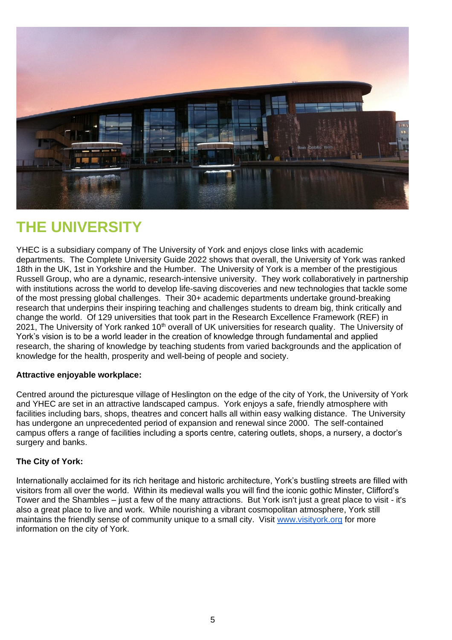

## **THE UNIVERSITY**

YHEC is a subsidiary company of The University of York and enjoys close links with academic departments. The Complete University Guide 2022 shows that overall, the University of York was ranked 18th in the UK, 1st in Yorkshire and the Humber. The University of York is a member of the prestigious Russell Group, who are a dynamic, research-intensive university. They work collaboratively in partnership with institutions across the world to develop life-saving discoveries and new technologies that tackle some of the most pressing global challenges. Their 30+ academic departments undertake ground-breaking research that underpins their inspiring teaching and challenges students to dream big, think critically and change the world. Of 129 universities that took part in the Research Excellence Framework (REF) in 2021, The University of York ranked 10<sup>th</sup> overall of UK universities for research quality. The University of York's vision is to be a world leader in the creation of knowledge through fundamental and applied research, the sharing of knowledge by teaching students from varied backgrounds and the application of knowledge for the health, prosperity and well-being of people and society.

#### **Attractive enjoyable workplace:**

Centred around the picturesque village of Heslington on the edge of the city of York, the University of York and YHEC are set in an attractive landscaped campus. York enjoys a safe, friendly atmosphere with facilities including bars, shops, theatres and concert halls all within easy walking distance. The University has undergone an unprecedented period of expansion and renewal since 2000. The self-contained campus offers a range of facilities including a sports centre, catering outlets, shops, a nursery, a doctor's surgery and banks.

#### **The City of York:**

Internationally acclaimed for its rich heritage and historic architecture, York's bustling streets are filled with visitors from all over the world. Within its medieval walls you will find the iconic gothic Minster, Clifford's Tower and the Shambles – just a few of the many attractions. But York isn't just a great place to visit - it's also a great place to live and work. While nourishing a vibrant cosmopolitan atmosphere, York still maintains the friendly sense of community unique to a small city. Visit [www.visityork.org](http://www.visityork.org/) for more information on the city of York.